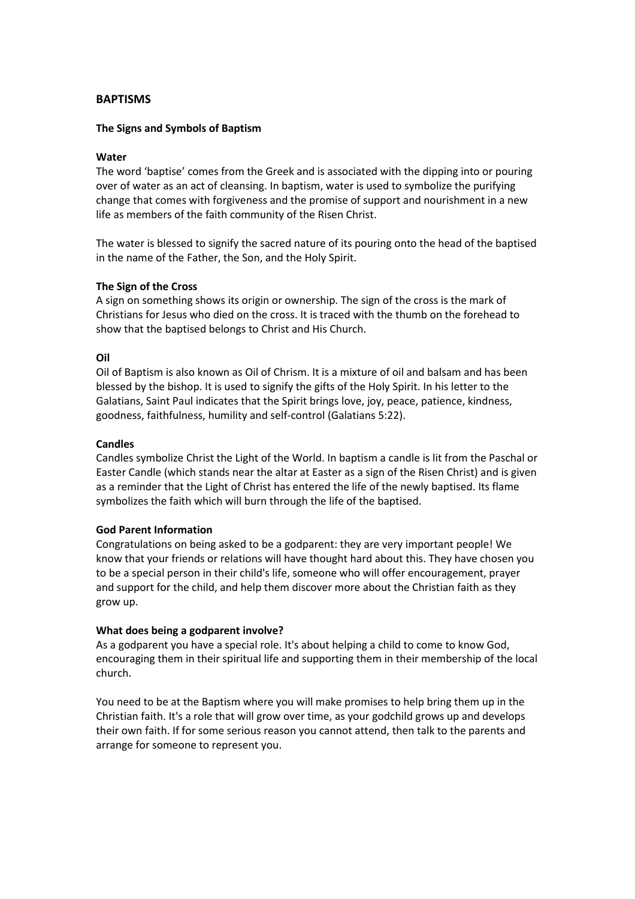## **BAPTISMS**

## **The Signs and Symbols of Baptism**

### **Water**

The word 'baptise' comes from the Greek and is associated with the dipping into or pouring over of water as an act of cleansing. In baptism, water is used to symbolize the purifying change that comes with forgiveness and the promise of support and nourishment in a new life as members of the faith community of the Risen Christ.

The water is blessed to signify the sacred nature of its pouring onto the head of the baptised in the name of the Father, the Son, and the Holy Spirit.

#### **The Sign of the Cross**

A sign on something shows its origin or ownership. The sign of the cross is the mark of Christians for Jesus who died on the cross. It is traced with the thumb on the forehead to show that the baptised belongs to Christ and His Church.

### **Oil**

Oil of Baptism is also known as Oil of Chrism. It is a mixture of oil and balsam and has been blessed by the bishop. It is used to signify the gifts of the Holy Spirit. In his letter to the Galatians, Saint Paul indicates that the Spirit brings love, joy, peace, patience, kindness, goodness, faithfulness, humility and self-control (Galatians 5:22).

#### **Candles**

Candles symbolize Christ the Light of the World. In baptism a candle is lit from the Paschal or Easter Candle (which stands near the altar at Easter as a sign of the Risen Christ) and is given as a reminder that the Light of Christ has entered the life of the newly baptised. Its flame symbolizes the faith which will burn through the life of the baptised.

#### **God Parent Information**

Congratulations on being asked to be a godparent: they are very important people! We know that your friends or relations will have thought hard about this. They have chosen you to be a special person in their child's life, someone who will offer encouragement, prayer and support for the child, and help them discover more about the Christian faith as they grow up.

#### **What does being a godparent involve?**

As a godparent you have a special role. It's about helping a child to come to know God, encouraging them in their spiritual life and supporting them in their membership of the local church.

You need to be at the Baptism where you will make promises to help bring them up in the Christian faith. It's a role that will grow over time, as your godchild grows up and develops their own faith. If for some serious reason you cannot attend, then talk to the parents and arrange for someone to represent you.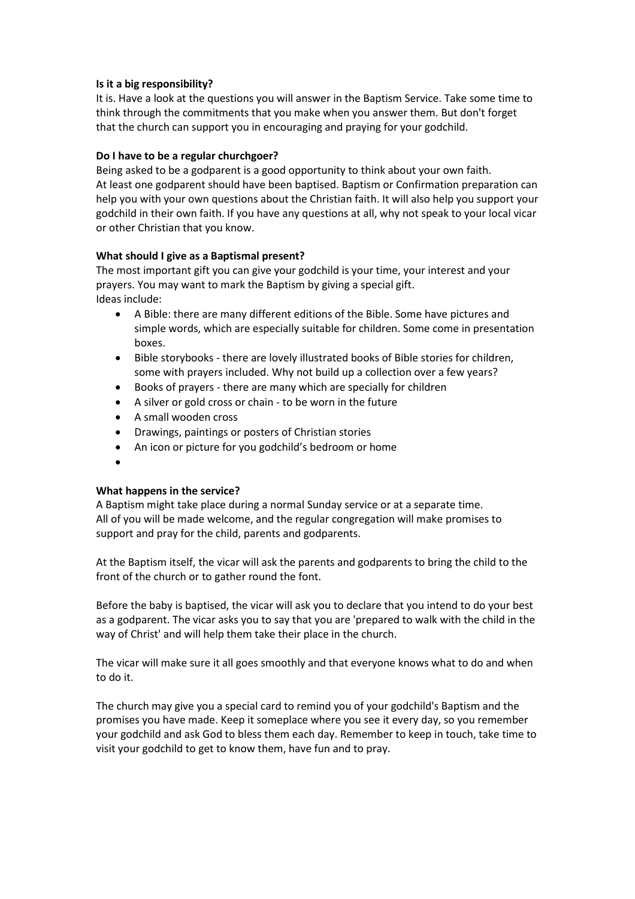## **Is it a big responsibility?**

It is. Have a look at the questions you will answer in the Baptism Service. Take some time to think through the commitments that you make when you answer them. But don't forget that the church can support you in encouraging and praying for your godchild.

## **Do I have to be a regular churchgoer?**

Being asked to be a godparent is a good opportunity to think about your own faith. At least one godparent should have been baptised. Baptism or Confirmation preparation can help you with your own questions about the Christian faith. It will also help you support your godchild in their own faith. If you have any questions at all, why not speak to your local vicar or other Christian that you know.

## **What should I give as a Baptismal present?**

The most important gift you can give your godchild is your time, your interest and your prayers. You may want to mark the Baptism by giving a special gift. Ideas include:

- A Bible: there are many different editions of the Bible. Some have pictures and simple words, which are especially suitable for children. Some come in presentation boxes.
- Bible storybooks there are lovely illustrated books of Bible stories for children, some with prayers included. Why not build up a collection over a few years?
- Books of prayers there are many which are specially for children
- A silver or gold cross or chain to be worn in the future
- A small wooden cross
- Drawings, paintings or posters of Christian stories
- An icon or picture for you godchild's bedroom or home
- $\bullet$

# **What happens in the service?**

A Baptism might take place during a normal Sunday service or at a separate time. All of you will be made welcome, and the regular congregation will make promises to support and pray for the child, parents and godparents.

At the Baptism itself, the vicar will ask the parents and godparents to bring the child to the front of the church or to gather round the font.

Before the baby is baptised, the vicar will ask you to declare that you intend to do your best as a godparent. The vicar asks you to say that you are 'prepared to walk with the child in the way of Christ' and will help them take their place in the church.

The vicar will make sure it all goes smoothly and that everyone knows what to do and when to do it.

The church may give you a special card to remind you of your godchild's Baptism and the promises you have made. Keep it someplace where you see it every day, so you remember your godchild and ask God to bless them each day. Remember to keep in touch, take time to visit your godchild to get to know them, have fun and to pray.